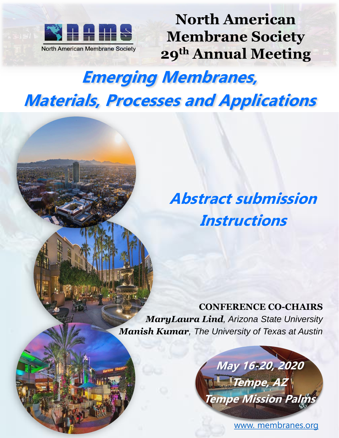

**North American Membrane Society 29th Annual Meeting**

# **Emerging Membranes, Materials, Processes and Applications**

**Abstract submission Instructions**

**CONFERENCE CO-CHAIRS** *MaryLaura Lind, Arizona State University Manish Kumar, The University of Texas at Austin* 



[www. membranes.org](https://membranes.org/)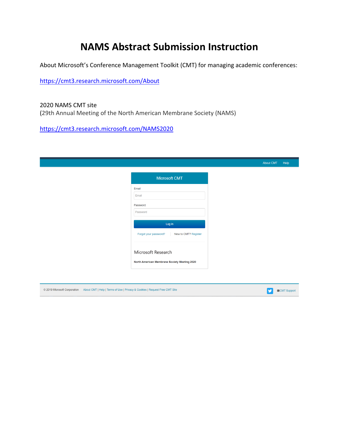### **NAMS Abstract Submission Instruction**

About Microsoft's Conference Management Toolkit (CMT) for managing academic conferences:

<https://cmt3.research.microsoft.com/About>

2020 NAMS CMT site (29th Annual Meeting of the North American Membrane Society (NAMS)

[https://cmt3.research.microsoft.com/NAMS2020](https://cmt3.research.microsoft.com/User/Login?ReturnUrl=%2FNAMS2020)

© 2019 Microsoft Corporation About CMT | Help | Terms of Use | Privacy & Cookies | Request Free CMT Site

| Microsoft CMT                                 |
|-----------------------------------------------|
| Email                                         |
| Email                                         |
| Password                                      |
| Password                                      |
| Log In                                        |
| Forgot your password?<br>New to CMT? Register |
|                                               |
| Microsoft Research                            |
|                                               |

SOMT Support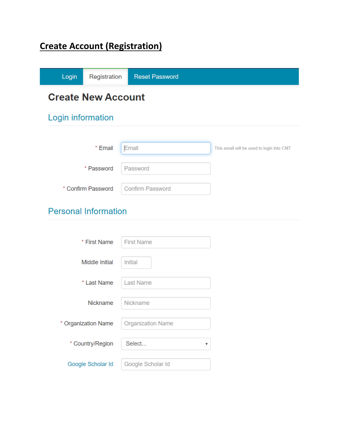## **Create Account (Registration)**

| Login             | Registration                | <b>Reset Password</b>   |                                           |
|-------------------|-----------------------------|-------------------------|-------------------------------------------|
|                   | <b>Create New Account</b>   |                         |                                           |
| Login information |                             |                         |                                           |
|                   |                             |                         |                                           |
|                   | * Email                     | Email                   | This email will be used to login into CMT |
|                   | * Password                  | Password                |                                           |
|                   | * Confirm Password          | <b>Confirm Password</b> |                                           |
|                   | <b>Personal Information</b> |                         |                                           |
|                   |                             |                         |                                           |
|                   | * First Name                | <b>First Name</b>       |                                           |
|                   | <b>Middle Initial</b>       | Initial                 |                                           |

| * First Name        | <b>First Name</b>        |
|---------------------|--------------------------|
| Middle Initial      | Initial                  |
| * Last Name         | <b>Last Name</b>         |
| Nickname            | <b>Nickname</b>          |
| * Organization Name | <b>Organization Name</b> |
| * Country/Region    | Select                   |
| Google Scholar Id   | Google Scholar Id        |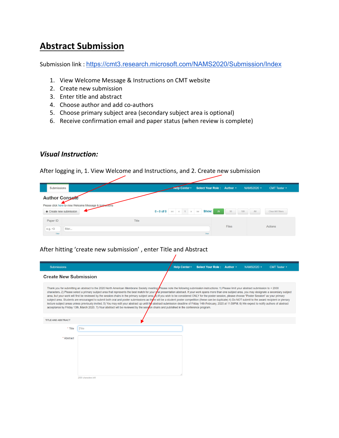### **Abstract Submission**

Submission link : <https://cmt3.research.microsoft.com/NAMS2020/Submission/Index>

- 1. View Welcome Message & Instructions on CMT website
- 2. Create new submission
- 3. Enter title and abstract
- 4. Choose author and add co-authors
- 5. Choose primary subject area (secondary subject area is optional)
- 6. Receive confirmation email and paper status (when review is complete)

#### *Visual Instruction:*

After logging in, 1. View Welcome and Instructions, and 2. Create new submission

| Submissions                                                                           |       | <b>Help Center</b>                                         | Select Your Role: Author - |       | NAMS2020 - | <b>CMT Tester -</b> |
|---------------------------------------------------------------------------------------|-------|------------------------------------------------------------|----------------------------|-------|------------|---------------------|
| <b>Author Console</b>                                                                 |       |                                                            |                            |       |            |                     |
| Please click here to view Welcome Message & Instructions<br>$+$ Create new submission |       | $\alpha$ 1 $\alpha$ $\alpha$<br>$0 - 0$ of $0$<br>$\alpha$ | Show:<br>25                | 50    | 100<br>All | Clear All Filters   |
| Paper ID                                                                              | Title |                                                            |                            |       |            |                     |
| e.g. < 3<br>filter<br>Clear                                                           |       |                                                            | Clear                      | Files |            | Actions             |

 $\prime$ 

#### After hitting 'create new submission' , enter Title and Abstract

| <b>Submissions</b>           |                                                                                                                                                                                                                                                                                                                                                                                                                                                                                                                                                                                                                                                                                                                                                                                                                                                                                                                                                                                                                                                                                                                                                                                                       | Help Center - | Select Your Role: Author ~ | NAMS2020 - | CMT Tester - |
|------------------------------|-------------------------------------------------------------------------------------------------------------------------------------------------------------------------------------------------------------------------------------------------------------------------------------------------------------------------------------------------------------------------------------------------------------------------------------------------------------------------------------------------------------------------------------------------------------------------------------------------------------------------------------------------------------------------------------------------------------------------------------------------------------------------------------------------------------------------------------------------------------------------------------------------------------------------------------------------------------------------------------------------------------------------------------------------------------------------------------------------------------------------------------------------------------------------------------------------------|---------------|----------------------------|------------|--------------|
| <b>Create New Submission</b> |                                                                                                                                                                                                                                                                                                                                                                                                                                                                                                                                                                                                                                                                                                                                                                                                                                                                                                                                                                                                                                                                                                                                                                                                       |               |                            |            |              |
|                              | Thank you for submitting an abstract to the 2020 North American Membrane Society meeting Please note the following submission instructions: 1) Please limit your abstract submission to < 2000<br>characters. 2) Please select a primary subject area that represents the best match for your oral presentation abstract. If your work spans more than one subject area, you may designate a secondary subject<br>area, but your work will first be reviewed by the session chairs in the primary subject area. b) If you wish to be considered ONLY for the poster session, please choose "Poster Session" as your primary<br>subject area. Students are encouraged to submit both oral and poster submissions as there will be a student poster competition (these can be duplicate) 4) Do NOT submit to the award recipient or plenary<br>lecture subject areas unless previously invited. 5) You may edit your abstract up until the abstract submission deadline of Friday 14th February, 2020 at 11:59PM. 6) We expect to notify authors of abstract<br>acceptance by Friday 13th, March 2020. 7) Your abstract will be reviewed by the session chairs and published in the conference program. |               |                            |            |              |
| <b>TITLE AND ABSTRACT</b>    |                                                                                                                                                                                                                                                                                                                                                                                                                                                                                                                                                                                                                                                                                                                                                                                                                                                                                                                                                                                                                                                                                                                                                                                                       |               |                            |            |              |
| * Title                      | Title                                                                                                                                                                                                                                                                                                                                                                                                                                                                                                                                                                                                                                                                                                                                                                                                                                                                                                                                                                                                                                                                                                                                                                                                 |               |                            |            |              |
| * Abstract                   |                                                                                                                                                                                                                                                                                                                                                                                                                                                                                                                                                                                                                                                                                                                                                                                                                                                                                                                                                                                                                                                                                                                                                                                                       |               |                            |            |              |
|                              |                                                                                                                                                                                                                                                                                                                                                                                                                                                                                                                                                                                                                                                                                                                                                                                                                                                                                                                                                                                                                                                                                                                                                                                                       |               |                            |            |              |
|                              |                                                                                                                                                                                                                                                                                                                                                                                                                                                                                                                                                                                                                                                                                                                                                                                                                                                                                                                                                                                                                                                                                                                                                                                                       |               |                            |            |              |
|                              |                                                                                                                                                                                                                                                                                                                                                                                                                                                                                                                                                                                                                                                                                                                                                                                                                                                                                                                                                                                                                                                                                                                                                                                                       |               |                            |            |              |
|                              |                                                                                                                                                                                                                                                                                                                                                                                                                                                                                                                                                                                                                                                                                                                                                                                                                                                                                                                                                                                                                                                                                                                                                                                                       |               |                            |            |              |
|                              | 2000 characters left                                                                                                                                                                                                                                                                                                                                                                                                                                                                                                                                                                                                                                                                                                                                                                                                                                                                                                                                                                                                                                                                                                                                                                                  |               |                            |            |              |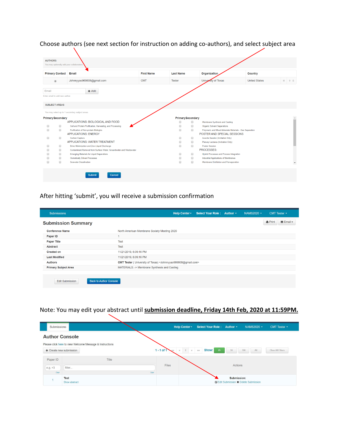#### Choose authors (see next section for instruction on adding co-authors), and select subject area



#### After hitting 'submit', you will receive a submission confirmation

| <b>Submissions</b>                                      | Help Center -<br>Select Your Role: Author -<br>NAMS2020 -<br>CMT Tester -                 |  |
|---------------------------------------------------------|-------------------------------------------------------------------------------------------|--|
| <b>Submission Summary</b>                               | <b>M</b> Email ▼<br><b>A</b> Print                                                        |  |
| <b>Conference Name</b>                                  | North American Membrane Society Meeting 2020                                              |  |
| Paper ID                                                |                                                                                           |  |
| <b>Paper Title</b>                                      | <b>Test</b>                                                                               |  |
| <b>Abstract</b>                                         | <b>Test</b>                                                                               |  |
| <b>Created on</b>                                       | 11/21/2019, 6:39:16 PM                                                                    |  |
| <b>Last Modified</b>                                    | 11/21/2019, 6:39:16 PM                                                                    |  |
| <b>Authors</b>                                          | CMT Tester ( University of Texas) <johnnyyao969608@gmail.com></johnnyyao969608@gmail.com> |  |
| <b>Primary Subject Area</b>                             | MATERIALS: - > Membrane Synthesis and Casting                                             |  |
|                                                         |                                                                                           |  |
| <b>Back to Author Console</b><br><b>Edit Submission</b> |                                                                                           |  |

#### Note: You may edit your abstract until **submission deadline, Friday 14th Feb, 2020 at 11:59PM.**

| Submissions               |                                                          |       | <b>Help Center -</b>                    | Select Your Role: Author - |                                                                     | NAMS2020 - | CMT Tester -      |
|---------------------------|----------------------------------------------------------|-------|-----------------------------------------|----------------------------|---------------------------------------------------------------------|------------|-------------------|
| <b>Author Console</b>     |                                                          |       |                                         |                            |                                                                     |            |                   |
|                           | Please click here to view Welcome Message & Instructions |       |                                         |                            |                                                                     |            |                   |
| $+$ Create new submission |                                                          |       | $1 - 1$ of 1<br>$\alpha$<br>$1 \quad n$ | Show:<br>25<br>NN          | 50                                                                  | 100<br>All | Clear All Filters |
| Paper ID                  | Title                                                    |       |                                         |                            |                                                                     |            |                   |
| e.g. < 3                  | filter                                                   |       | Files                                   |                            | Actions                                                             |            |                   |
| Clear                     |                                                          | Clear |                                         |                            |                                                                     |            |                   |
|                           | Test<br>Show abstract                                    |       |                                         |                            | Submission:<br><b>E'</b> Edit Submission <b>*</b> Delete Submission |            |                   |